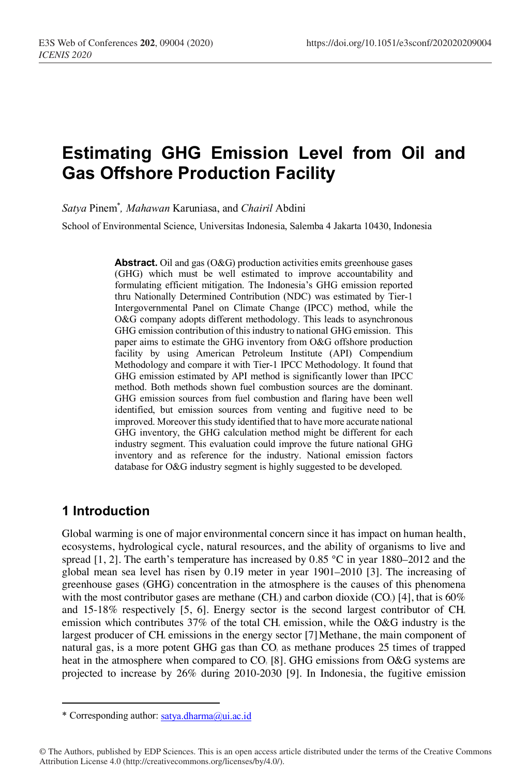# **Estimating GHG Emission Level from Oil and Gas Offshore Production Facility**

*Satya* Pinem\* *, Mahawan* Karuniasa, and *Chairil* Abdini

School of Environmental Science, Universitas Indonesia, Salemba 4 Jakarta 10430, Indonesia

**Abstract.** Oil and gas (O&G) production activities emits greenhouse gases (GHG) which must be well estimated to improve accountability and formulating efficient mitigation. The Indonesia's GHG emission reported thru Nationally Determined Contribution (NDC) was estimated by Tier-1 Intergovernmental Panel on Climate Change (IPCC) method, while the O&G company adopts different methodology. This leads to asynchronous GHG emission contribution of this industry to national GHG emission. This paper aims to estimate the GHG inventory from O&G offshore production facility by using American Petroleum Institute (API) Compendium Methodology and compare it with Tier-1 IPCC Methodology. It found that GHG emission estimated by API method is significantly lower than IPCC method. Both methods shown fuel combustion sources are the dominant. GHG emission sources from fuel combustion and flaring have been well identified, but emission sources from venting and fugitive need to be improved. Moreover this study identified that to have more accurate national GHG inventory, the GHG calculation method might be different for each industry segment. This evaluation could improve the future national GHG inventory and as reference for the industry. National emission factors database for O&G industry segment is highly suggested to be developed.

## **1 Introduction**

Global warming is one of major environmental concern since it has impact on human health, ecosystems, hydrological cycle, natural resources, and the ability of organisms to live and spread  $[1, 2]$ . The earth's temperature has increased by 0.85 °C in year 1880–2012 and the global mean sea level has risen by 0.19 meter in year 1901–2010 [3]. The increasing of greenhouse gases (GHG) concentration in the atmosphere is the causes of this phenomena with the most contributor gases are methane (CH $_4$ ) and carbon dioxide (CO $_2$ ) [4], that is 60% and  $15-18\%$  respectively [5, 6]. Energy sector is the second largest contributor of CH<sub>4</sub> emission which contributes  $37\%$  of the total CH, emission, while the O&G industry is the largest producer of CH<sub>4</sub> emissions in the energy sector [7]. Methane, the main component of natural gas, is a more potent GHG gas than  $CO<sub>2</sub>$  as methane produces 25 times of trapped heat in the atmosphere when compared to  $CO<sub>2</sub>$  [8]. GHG emissions from O&G systems are projected to increase by 26% during 2010-2030 [9]. In Indonesia, the fugitive emission

 \* Corresponding author: satya.dharma@ui.ac.id

<sup>©</sup> The Authors, published by EDP Sciences. This is an open access article distributed under the terms of the Creative Commons Attribution License 4.0 (http://creativecommons.org/licenses/by/4.0/).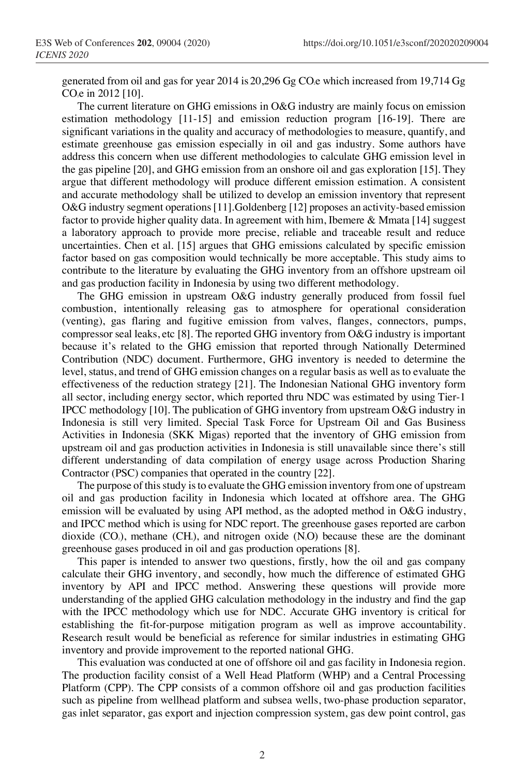generated from oil and gas for year 2014 is 20,296 Gg CO<sub>2</sub>e which increased from 19,714 Gg CO<sub>e</sub> in 2012 [10].

The current literature on GHG emissions in O&G industry are mainly focus on emission estimation methodology [11-15] and emission reduction program [16-19]. There are significant variations in the quality and accuracy of methodologies to measure, quantify, and estimate greenhouse gas emission especially in oil and gas industry. Some authors have address this concern when use different methodologies to calculate GHG emission level in the gas pipeline [20], and GHG emission from an onshore oil and gas exploration [15]. They argue that different methodology will produce different emission estimation. A consistent and accurate methodology shall be utilized to develop an emission inventory that represent O&G industry segment operations[11].Goldenberg [12] proposes an activity-based emission factor to provide higher quality data. In agreement with him, Ibemere  $\&$  Mmata [14] suggest a laboratory approach to provide more precise, reliable and traceable result and reduce uncertainties. Chen et al. [15] argues that GHG emissions calculated by specific emission factor based on gas composition would technically be more acceptable. This study aims to contribute to the literature by evaluating the GHG inventory from an offshore upstream oil and gas production facility in Indonesia by using two different methodology.

The GHG emission in upstream O&G industry generally produced from fossil fuel combustion, intentionally releasing gas to atmosphere for operational consideration (venting), gas flaring and fugitive emission from valves, flanges, connectors, pumps, compressor seal leaks, etc [8]. The reported GHG inventory from O&G industry is important because it's related to the GHG emission that reported through Nationally Determined Contribution (NDC) document. Furthermore, GHG inventory is needed to determine the level, status, and trend of GHG emission changes on a regular basis as well as to evaluate the effectiveness of the reduction strategy [21]. The Indonesian National GHG inventory form all sector, including energy sector, which reported thru NDC was estimated by using Tier-1 IPCC methodology [10]. The publication of GHG inventory from upstream O&G industry in Indonesia is still very limited. Special Task Force for Upstream Oil and Gas Business Activities in Indonesia (SKK Migas) reported that the inventory of GHG emission from upstream oil and gas production activities in Indonesia is still unavailable since there's still different understanding of data compilation of energy usage across Production Sharing Contractor (PSC) companies that operated in the country [22].

The purpose of this study is to evaluate the GHG emission inventory from one of upstream oil and gas production facility in Indonesia which located at offshore area. The GHG emission will be evaluated by using API method, as the adopted method in O&G industry, and IPCC method which is using for NDC report. The greenhouse gases reported are carbon dioxide  $(CO<sub>2</sub>)$ , methane  $(CH<sub>4</sub>)$ , and nitrogen oxide  $(N<sub>2</sub>O)$  because these are the dominant greenhouse gases produced in oil and gas production operations [8].

This paper is intended to answer two questions, firstly, how the oil and gas company calculate their GHG inventory, and secondly, how much the difference of estimated GHG inventory by API and IPCC method. Answering these questions will provide more understanding of the applied GHG calculation methodology in the industry and find the gap with the IPCC methodology which use for NDC. Accurate GHG inventory is critical for establishing the fit-for-purpose mitigation program as well as improve accountability. Research result would be beneficial as reference for similar industries in estimating GHG inventory and provide improvement to the reported national GHG.

This evaluation was conducted at one of offshore oil and gas facility in Indonesia region. The production facility consist of a Well Head Platform (WHP) and a Central Processing Platform (CPP). The CPP consists of a common offshore oil and gas production facilities such as pipeline from wellhead platform and subsea wells, two-phase production separator, gas inlet separator, gas export and injection compression system, gas dew point control, gas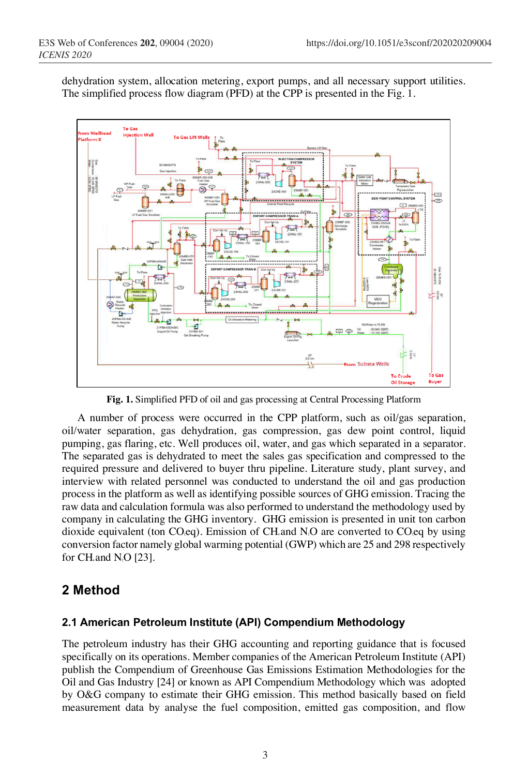dehydration system, allocation metering, export pumps, and all necessary support utilities. The simplified process flow diagram (PFD) at the CPP is presented in the Fig. 1.



**Fig. 1.** Simplified PFD of oil and gas processing at Central Processing Platform

A number of process were occurred in the CPP platform, such as oil/gas separation, oil/water separation, gas dehydration, gas compression, gas dew point control, liquid pumping, gas flaring, etc. Well produces oil, water, and gas which separated in a separator. The separated gas is dehydrated to meet the sales gas specification and compressed to the required pressure and delivered to buyer thru pipeline. Literature study, plant survey, and interview with related personnel was conducted to understand the oil and gas production process in the platform as well as identifying possible sources of GHG emission. Tracing the raw data and calculation formula was also performed to understand the methodology used by company in calculating the GHG inventory. GHG emission is presented in unit ton carbon dioxide equivalent (ton CO<sub>2</sub>eq). Emission of CH and N<sub>2</sub>O are converted to CO<sub>2</sub>eq by using conversion factor namely global warming potential (GWP) which are 25 and 298 respectively for CH, and N<sub>2</sub>O  $[23]$ .

## **2 Method**

#### **2.1 American Petroleum Institute (API) Compendium Methodology**

The petroleum industry has their GHG accounting and reporting guidance that is focused specifically on its operations. Member companies of the American Petroleum Institute (API) publish the Compendium of Greenhouse Gas Emissions Estimation Methodologies for the Oil and Gas Industry [24] or known as API Compendium Methodology which was adopted by O&G company to estimate their GHG emission. This method basically based on field measurement data by analyse the fuel composition, emitted gas composition, and flow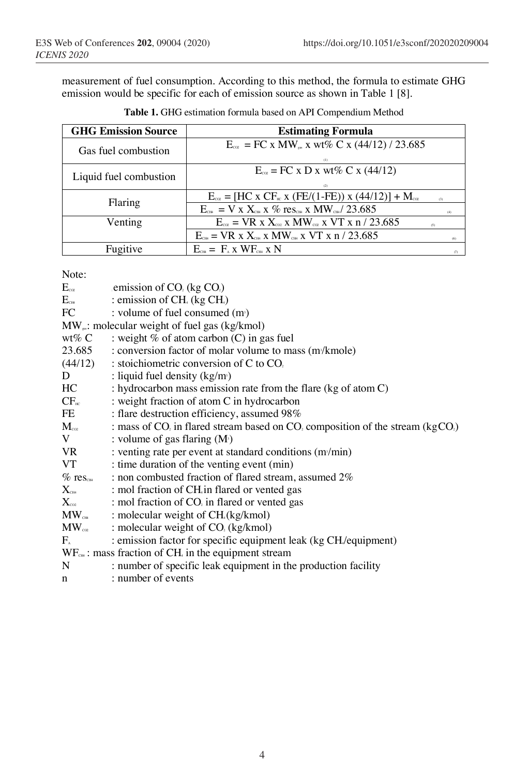measurement of fuel consumption. According to this method, the formula to estimate GHG emission would be specific for each of emission source as shown in Table 1 [8].

| <b>GHG Emission Source</b> | <b>Estimating Formula</b>                                                                                               |          |
|----------------------------|-------------------------------------------------------------------------------------------------------------------------|----------|
| Gas fuel combustion        | $E_{\text{ce}} = FC \times MW_{\text{max}} \times wt\% C \times (44/12) / 23.685$<br>(1)                                |          |
| Liquid fuel combustion     | $E_{\infty}$ = FC x D x wt% C x (44/12)                                                                                 |          |
| Flaring                    | $E_{\text{co}} = [HC \times CF_{\text{ac}} \times (FE/(1-FE)) \times (44/12)] + M_{\text{co}}$                          | (3)      |
|                            | $E_{\text{CH}} = V \times X_{\text{CH}} \times \%$ res <sub>ch</sub> x MW <sub>Ch</sub> / 23.685                        | (4)      |
| Venting                    | $E_{\text{co}}$ = VR x $X_{\text{co}}$ x MW $_{\text{co}}$ x VT x n / 23.685                                            | (5)      |
|                            | $E_{\text{CH}} = \text{VR} \times X_{\text{CH}} \times \text{MW}_{\text{CH}} \times \text{VT} \times \text{n} / 23.685$ | (6)      |
| Fugitive                   | $E_{\text{CH}} = F_{\text{A}} x \text{W} F_{\text{CH}} x \text{N}$                                                      | $\sigma$ |

**Table 1.** GHG estimation formula based on API Compendium Method

Note:

|                                                                 | $E_{\text{co}}$ emission of CO <sub>2</sub> (kg CO <sub>2</sub> )                              |  |  |  |  |
|-----------------------------------------------------------------|------------------------------------------------------------------------------------------------|--|--|--|--|
|                                                                 | $E_{cm}$ : emission of CH <sub>4</sub> (kg CH <sub>4</sub> )                                   |  |  |  |  |
| FC                                                              | : volume of fuel consumed (m <sup>3</sup> )                                                    |  |  |  |  |
| $MW_{\mu}$ : molecular weight of fuel gas (kg/kmol)             |                                                                                                |  |  |  |  |
| wt% $C$                                                         | : weight $%$ of atom carbon (C) in gas fuel                                                    |  |  |  |  |
| 23.685                                                          | : conversion factor of molar volume to mass (m <sup>/</sup> kmole)                             |  |  |  |  |
| (44/12)                                                         | : stoichiometric conversion of C to CO.                                                        |  |  |  |  |
| D                                                               | : liquid fuel density $(kg/m)$                                                                 |  |  |  |  |
| HC                                                              | : hydrocarbon mass emission rate from the flare (kg of atom C)                                 |  |  |  |  |
| CF <sub>HC</sub>                                                | : weight fraction of atom C in hydrocarbon                                                     |  |  |  |  |
| FE                                                              | : flare destruction efficiency, assumed 98%                                                    |  |  |  |  |
| $\mathbf{M}_{\mathrm{coz}}$                                     | : mass of $CO2$ in flared stream based on $CO2$ composition of the stream (kgCO <sub>2</sub> ) |  |  |  |  |
| V                                                               | : volume of gas flaring $(M^s)$                                                                |  |  |  |  |
| VR 1999 VR                                                      | : venting rate per event at standard conditions (m/min)                                        |  |  |  |  |
| VT                                                              | : time duration of the venting event (min)                                                     |  |  |  |  |
| $\%$ res $_{\textrm{\tiny{CHH}}}$                               | : non combusted fraction of flared stream, assumed 2%                                          |  |  |  |  |
| $\mathbf{X}_{\scriptscriptstyle{\mathrm{CH4}}}$                 | : mol fraction of CH in flared or vented gas                                                   |  |  |  |  |
| $\mathbf{X}_{\infty}$                                           | : mol fraction of CO <sub>2</sub> in flared or vented gas                                      |  |  |  |  |
| $\mathbf{MW}_{\scriptscriptstyle{\mathrm{CH}}\!}$               | : molecular weight of CH.(kg/kmol)                                                             |  |  |  |  |
|                                                                 | $MW_{\infty}$ : molecular weight of $CO_{2}$ (kg/kmol)                                         |  |  |  |  |
| $F_{\alpha}$                                                    | : emission factor for specific equipment leak (kg CH/equipment)                                |  |  |  |  |
| $WF_{\text{CH}}$ : mass fraction of CH, in the equipment stream |                                                                                                |  |  |  |  |
| N                                                               | : number of specific leak equipment in the production facility                                 |  |  |  |  |
| $\mathbf{n}$                                                    | : number of events                                                                             |  |  |  |  |
|                                                                 |                                                                                                |  |  |  |  |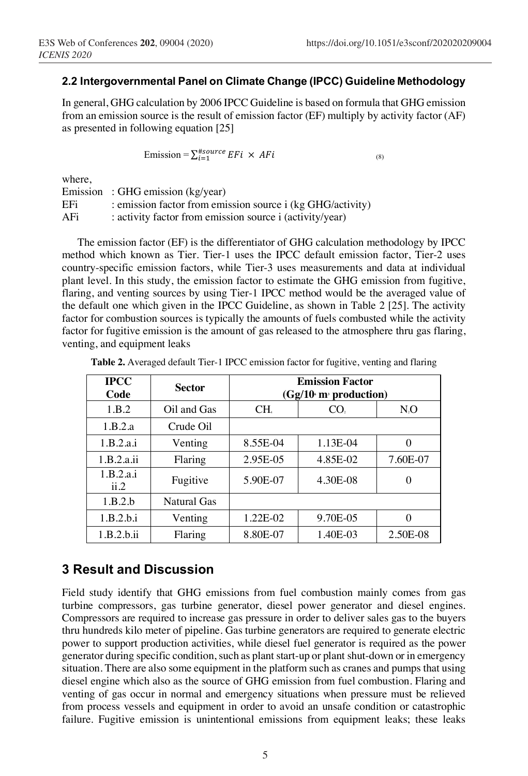#### **2.2 Intergovernmental Panel on Climate Change (IPCC) Guideline Methodology**

In general, GHG calculation by 2006 IPCC Guideline is based on formula that GHG emission from an emission source is the result of emission factor (EF) multiply by activity factor (AF) as presented in following equation [25]

Emission =  $\sum_{i=1}^{\# source} EFi \times AFi$  (8)

where,

|     | Emission: GHG emission (kg/year)                           |
|-----|------------------------------------------------------------|
| EFi | : emission factor from emission source i (kg GHG/activity) |
| AFi | : activity factor from emission source i (activity/year)   |

The emission factor (EF) is the differentiator of GHG calculation methodology by IPCC method which known as Tier. Tier-1 uses the IPCC default emission factor, Tier-2 uses country-specific emission factors, while Tier-3 uses measurements and data at individual plant level. In this study, the emission factor to estimate the GHG emission from fugitive, flaring, and venting sources by using Tier-1 IPCC method would be the averaged value of the default one which given in the IPCC Guideline, as shown in Table 2 [25]. The activity factor for combustion sources is typically the amounts of fuels combusted while the activity factor for fugitive emission is the amount of gas released to the atmosphere thru gas flaring, venting, and equipment leaks

| <b>IPCC</b><br>Code | <b>Sector</b>       | <b>Emission Factor</b><br>$(Gg/106 m3$ production) |                 |          |  |  |
|---------------------|---------------------|----------------------------------------------------|-----------------|----------|--|--|
| 1.B.2               | Oil and Gas         | CH.                                                | CO <sub>2</sub> | $N_{0}$  |  |  |
| 1.B.2.a             | Crude Oil           |                                                    |                 |          |  |  |
| 1.B.2.a.i           | Venting             | 8.55E-04                                           | 1.13E-04        | $\Omega$ |  |  |
| 1.B.2.a.ii          | 2.95E-05<br>Flaring |                                                    | 4.85E-02        | 7.60E-07 |  |  |
| 1.B.2.a.i<br>ii.2   | Fugitive            | 5.90E-07                                           | 4.30E-08        | 0        |  |  |
| 1.B.2.b             | Natural Gas         |                                                    |                 |          |  |  |
| 1.B.2.b.i           | Venting             | 1.22E-02                                           | 9.70E-05        | 0        |  |  |
| 1.B.2.b.ii          | Flaring             | 8.80E-07                                           | 1.40E-03        | 2.50E-08 |  |  |

**Table 2.** Averaged default Tier-1 IPCC emission factor for fugitive, venting and flaring

# **3 Result and Discussion**

Field study identify that GHG emissions from fuel combustion mainly comes from gas turbine compressors, gas turbine generator, diesel power generator and diesel engines. Compressors are required to increase gas pressure in order to deliver sales gas to the buyers thru hundreds kilo meter of pipeline. Gas turbine generators are required to generate electric power to support production activities, while diesel fuel generator is required as the power generator during specific condition, such as plant start-up or plant shut-down or in emergency situation. There are also some equipment in the platform such as cranes and pumps that using diesel engine which also as the source of GHG emission from fuel combustion. Flaring and venting of gas occur in normal and emergency situations when pressure must be relieved from process vessels and equipment in order to avoid an unsafe condition or catastrophic failure. Fugitive emission is unintentional emissions from equipment leaks; these leaks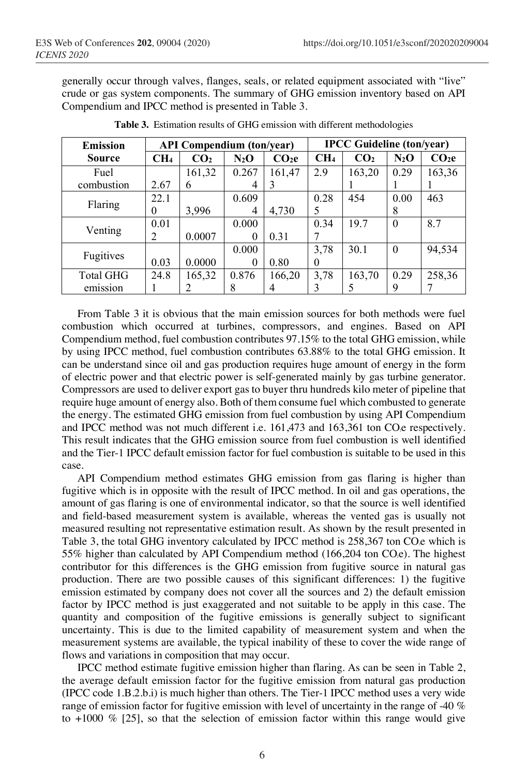generally occur through valves, flanges, seals, or related equipment associated with "live" crude or gas system components. The summary of GHG emission inventory based on API Compendium and IPCC method is presented in Table 3.

| <b>Emission</b>  | <b>API Compendium (ton/year)</b> |                 |         | <b>IPCC Guideline (ton/year)</b> |                 |                 |          |                   |
|------------------|----------------------------------|-----------------|---------|----------------------------------|-----------------|-----------------|----------|-------------------|
| <b>Source</b>    | CH <sub>4</sub>                  | CO <sub>2</sub> | $N_2$ O | CO <sub>2</sub> e                | CH <sub>4</sub> | CO <sub>2</sub> | $N_2O$   | CO <sub>2</sub> e |
| Fuel             |                                  | 161,32          | 0.267   | 161,47                           | 2.9             | 163,20          | 0.29     | 163,36            |
| combustion       | 2.67                             | 6               |         | 3                                |                 |                 |          |                   |
| Flaring          | 22.1                             |                 | 0.609   |                                  | 0.28            | 454             | 0.00     | 463               |
|                  | $\theta$                         | 3,996           | 4       | 4,730                            |                 |                 | 8        |                   |
|                  | 0.01                             |                 | 0.000   |                                  | 0.34            | 19.7            | $\theta$ | 8.7               |
| Venting          | 2                                | 0.0007          | 0       | 0.31                             |                 |                 |          |                   |
| Fugitives        |                                  |                 | 0.000   |                                  | 3,78            | 30.1            | $\theta$ | 94,534            |
|                  | 0.03                             | 0.0000          | 0       | 0.80                             | $_{0}$          |                 |          |                   |
| <b>Total GHG</b> | 24.8                             | 165,32          | 0.876   | 166,20                           | 3,78            | 163,70          | 0.29     | 258,36            |
| emission         |                                  | 2               |         |                                  |                 | 5               | 9        |                   |

**Table 3.** Estimation results of GHG emission with different methodologies

From Table 3 it is obvious that the main emission sources for both methods were fuel combustion which occurred at turbines, compressors, and engines. Based on API Compendium method, fuel combustion contributes 97.15% to the total GHG emission, while by using IPCC method, fuel combustion contributes 63.88% to the total GHG emission. It can be understand since oil and gas production requires huge amount of energy in the form of electric power and that electric power is self-generated mainly by gas turbine generator. Compressors are used to deliver export gas to buyer thru hundreds kilo meter of pipeline that require huge amount of energy also. Both of them consume fuel which combusted to generate the energy. The estimated GHG emission from fuel combustion by using API Compendium and IPCC method was not much different i.e.  $161,473$  and  $163,361$  ton CO $\epsilon$  respectively. This result indicates that the GHG emission source from fuel combustion is well identified and the Tier-1 IPCC default emission factor for fuel combustion is suitable to be used in this case.

API Compendium method estimates GHG emission from gas flaring is higher than fugitive which is in opposite with the result of IPCC method. In oil and gas operations, the amount of gas flaring is one of environmental indicator, so that the source is well identified and field-based measurement system is available, whereas the vented gas is usually not measured resulting not representative estimation result. As shown by the result presented in Table 3, the total GHG inventory calculated by IPCC method is 258,367 ton CO.e which is 55% higher than calculated by API Compendium method (166,204 ton CO.e). The highest contributor for this differences is the GHG emission from fugitive source in natural gas production. There are two possible causes of this significant differences: 1) the fugitive emission estimated by company does not cover all the sources and 2) the default emission factor by IPCC method is just exaggerated and not suitable to be apply in this case. The quantity and composition of the fugitive emissions is generally subject to significant uncertainty. This is due to the limited capability of measurement system and when the measurement systems are available, the typical inability of these to cover the wide range of flows and variations in composition that may occur.

IPCC method estimate fugitive emission higher than flaring. As can be seen in Table 2, the average default emission factor for the fugitive emission from natural gas production (IPCC code 1.B.2.b.i) is much higher than others. The Tier-1 IPCC method uses a very wide range of emission factor for fugitive emission with level of uncertainty in the range of -40 % to  $+1000\%$  [25], so that the selection of emission factor within this range would give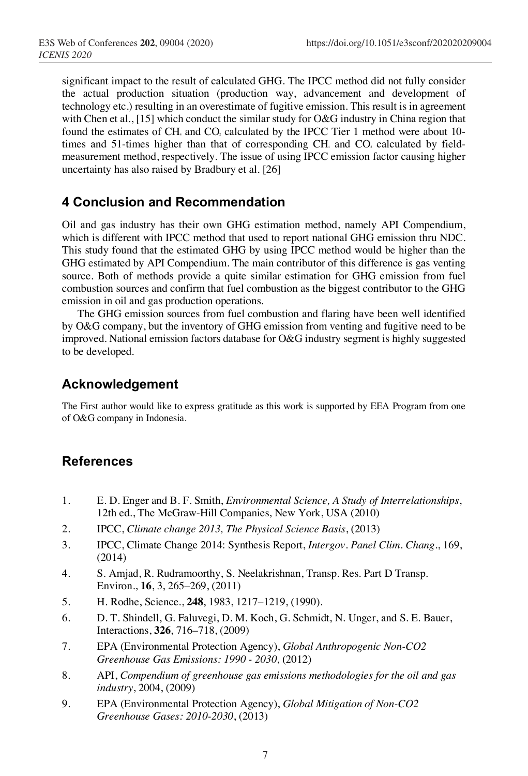significant impact to the result of calculated GHG. The IPCC method did not fully consider the actual production situation (production way, advancement and development of technology etc.) resulting in an overestimate of fugitive emission. This result is in agreement with Chen et al., [15] which conduct the similar study for O&G industry in China region that found the estimates of CH<sub>4</sub> and CO<sub>2</sub> calculated by the IPCC Tier 1 method were about 10times and 51-times higher than that of corresponding CH<sub>4</sub> and CO<sub>2</sub> calculated by fieldmeasurement method, respectively. The issue of using IPCC emission factor causing higher uncertainty has also raised by Bradbury et al. [26]

# **4 Conclusion and Recommendation**

Oil and gas industry has their own GHG estimation method, namely API Compendium, which is different with IPCC method that used to report national GHG emission thru NDC. This study found that the estimated GHG by using IPCC method would be higher than the GHG estimated by API Compendium. The main contributor of this difference is gas venting source. Both of methods provide a quite similar estimation for GHG emission from fuel combustion sources and confirm that fuel combustion as the biggest contributor to the GHG emission in oil and gas production operations.

The GHG emission sources from fuel combustion and flaring have been well identified by O&G company, but the inventory of GHG emission from venting and fugitive need to be improved. National emission factors database for O&G industry segment is highly suggested to be developed.

# **Acknowledgement**

The First author would like to express gratitude as this work is supported by EEA Program from one of O&G company in Indonesia.

## **References**

- 1. E. D. Enger and B. F. Smith, *Environmental Science, A Study of Interrelationships*, 12th ed., The McGraw-Hill Companies, New York, USA (2010)
- 2. IPCC, *Climate change 2013, The Physical Science Basis*, (2013)
- 3. IPCC, Climate Change 2014: Synthesis Report, *Intergov. Panel Clim. Chang.*, 169, (2014)
- 4. S. Amjad, R. Rudramoorthy, S. Neelakrishnan, Transp. Res. Part D Transp. Environ., **16**, 3, 265–269, (2011)
- 5. H. Rodhe, Science., **248**, 1983, 1217–1219, (1990).
- 6. D. T. Shindell, G. Faluvegi, D. M. Koch, G. Schmidt, N. Unger, and S. E. Bauer, Interactions, **326**, 716–718, (2009)
- 7. EPA (Environmental Protection Agency), *Global Anthropogenic Non-CO2 Greenhouse Gas Emissions: 1990 - 2030*, (2012)
- 8. API, *Compendium of greenhouse gas emissions methodologies for the oil and gas industry*, 2004, (2009)
- 9. EPA (Environmental Protection Agency), *Global Mitigation of Non-CO2 Greenhouse Gases: 2010-2030*, (2013)